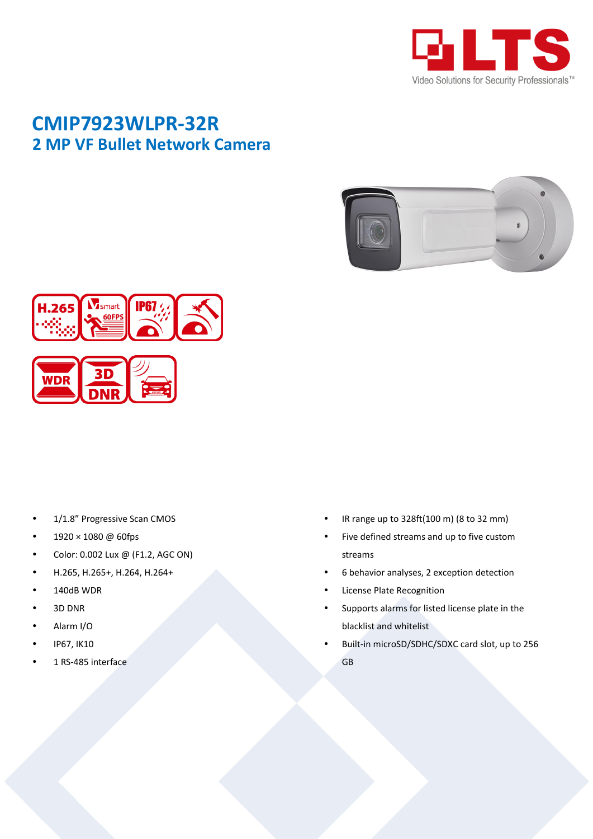

## **CMIP7923WLPR-32R 2 MP VF Bullet Network Camera**





- 1/1.8" Progressive Scan CMOS
- 1920 × 1080 @ 60fps
- Color: 0.002 Lux @ (F1.2, AGC ON)
- H.265, H.265+, H.264, H.264+
- 140dB WDR
- 3D DNR
- Alarm I/O
- IP67, IK10
- 1 RS-485 interface
- IR range up to 328ft(100 m) (8 to 32 mm)
- Five defined streams and up to five custom streams
- 6 behavior analyses, 2 exception detection
- License Plate Recognition
- Supports alarms for listed license plate in the blacklist and whitelist
- Built-in microSD/SDHC/SDXC card slot, up to 256 GB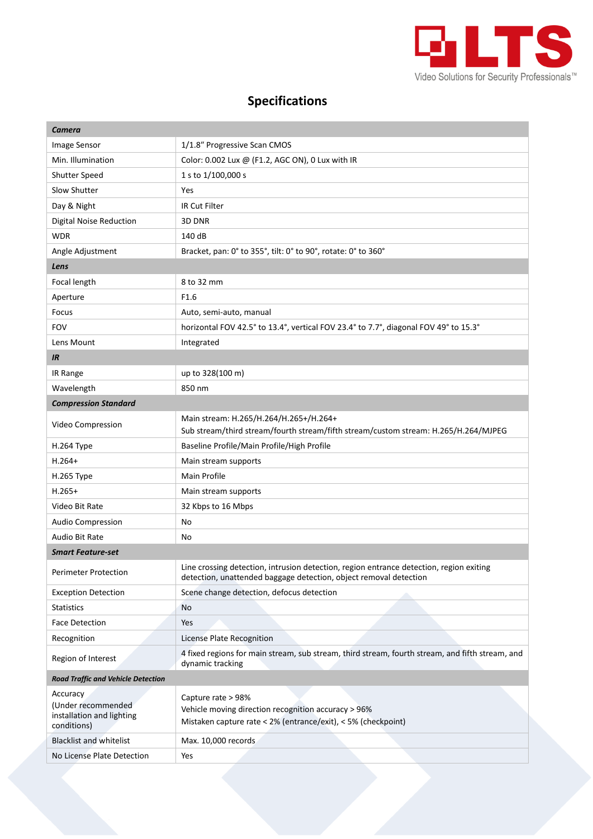

## **Specifications**

| Camera                                                                     |                                                                                                                                                              |  |
|----------------------------------------------------------------------------|--------------------------------------------------------------------------------------------------------------------------------------------------------------|--|
| Image Sensor                                                               | 1/1.8" Progressive Scan CMOS                                                                                                                                 |  |
| Min. Illumination                                                          | Color: 0.002 Lux @ (F1.2, AGC ON), 0 Lux with IR                                                                                                             |  |
| <b>Shutter Speed</b>                                                       | 1 s to 1/100,000 s                                                                                                                                           |  |
| Slow Shutter                                                               | Yes                                                                                                                                                          |  |
| Day & Night                                                                | IR Cut Filter                                                                                                                                                |  |
| <b>Digital Noise Reduction</b>                                             | 3D DNR                                                                                                                                                       |  |
| <b>WDR</b>                                                                 | 140 dB                                                                                                                                                       |  |
| Angle Adjustment                                                           | Bracket, pan: 0° to 355°, tilt: 0° to 90°, rotate: 0° to 360°                                                                                                |  |
| Lens                                                                       |                                                                                                                                                              |  |
| Focal length                                                               | 8 to 32 mm                                                                                                                                                   |  |
| Aperture                                                                   | F1.6                                                                                                                                                         |  |
| Focus                                                                      | Auto, semi-auto, manual                                                                                                                                      |  |
| <b>FOV</b>                                                                 | horizontal FOV 42.5° to 13.4°, vertical FOV 23.4° to 7.7°, diagonal FOV 49° to 15.3°                                                                         |  |
| Lens Mount                                                                 | Integrated                                                                                                                                                   |  |
| <b>IR</b>                                                                  |                                                                                                                                                              |  |
| IR Range                                                                   | up to 328(100 m)                                                                                                                                             |  |
| Wavelength                                                                 | 850 nm                                                                                                                                                       |  |
| <b>Compression Standard</b>                                                |                                                                                                                                                              |  |
| Video Compression                                                          | Main stream: H.265/H.264/H.265+/H.264+<br>Sub stream/third stream/fourth stream/fifth stream/custom stream: H.265/H.264/MJPEG                                |  |
| H.264 Type                                                                 | Baseline Profile/Main Profile/High Profile                                                                                                                   |  |
| $H.264+$                                                                   | Main stream supports                                                                                                                                         |  |
| H.265 Type                                                                 | Main Profile                                                                                                                                                 |  |
| $H.265+$                                                                   | Main stream supports                                                                                                                                         |  |
| Video Bit Rate                                                             | 32 Kbps to 16 Mbps                                                                                                                                           |  |
| Audio Compression                                                          | No                                                                                                                                                           |  |
| Audio Bit Rate                                                             | No                                                                                                                                                           |  |
| <b>Smart Feature-set</b>                                                   |                                                                                                                                                              |  |
| Perimeter Protection                                                       | Line crossing detection, intrusion detection, region entrance detection, region exiting<br>detection, unattended baggage detection, object removal detection |  |
| <b>Exception Detection</b>                                                 | Scene change detection, defocus detection                                                                                                                    |  |
| Statistics                                                                 | <b>No</b>                                                                                                                                                    |  |
| Face Detection                                                             | Yes                                                                                                                                                          |  |
| Recognition                                                                | License Plate Recognition                                                                                                                                    |  |
| Region of Interest                                                         | 4 fixed regions for main stream, sub stream, third stream, fourth stream, and fifth stream, and<br>dynamic tracking                                          |  |
| <b>Road Traffic and Vehicle Detection</b>                                  |                                                                                                                                                              |  |
| Accuracy<br>(Under recommended<br>installation and lighting<br>conditions) | Capture rate > 98%<br>Vehicle moving direction recognition accuracy > 96%<br>Mistaken capture rate < 2% (entrance/exit), < 5% (checkpoint)                   |  |
| <b>Blacklist and whitelist</b>                                             | Max. 10,000 records                                                                                                                                          |  |
| No License Plate Detection                                                 | Yes                                                                                                                                                          |  |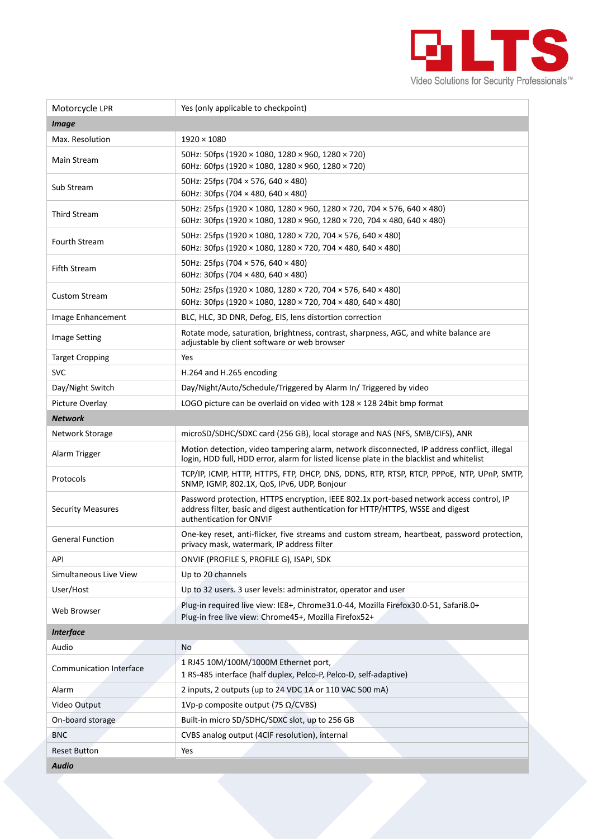

| Motorcycle LPR                 | Yes (only applicable to checkpoint)                                                                                                                                                                     |  |
|--------------------------------|---------------------------------------------------------------------------------------------------------------------------------------------------------------------------------------------------------|--|
| <i>Image</i>                   |                                                                                                                                                                                                         |  |
| Max. Resolution                | $1920 \times 1080$                                                                                                                                                                                      |  |
| Main Stream                    | 50Hz: 50fps (1920 × 1080, 1280 × 960, 1280 × 720)<br>60Hz: 60fps (1920 × 1080, 1280 × 960, 1280 × 720)                                                                                                  |  |
| Sub Stream                     | 50Hz: 25fps (704 $\times$ 576, 640 $\times$ 480)<br>60Hz: 30fps (704 $\times$ 480, 640 $\times$ 480)                                                                                                    |  |
| <b>Third Stream</b>            | 50Hz: 25fps (1920 × 1080, 1280 × 960, 1280 × 720, 704 × 576, 640 × 480)<br>60Hz: 30fps (1920 × 1080, 1280 × 960, 1280 × 720, 704 × 480, 640 × 480)                                                      |  |
| <b>Fourth Stream</b>           | 50Hz: 25fps (1920 × 1080, 1280 × 720, 704 × 576, 640 × 480)<br>60Hz: 30fps (1920 × 1080, 1280 × 720, 704 × 480, 640 × 480)                                                                              |  |
| Fifth Stream                   | 50Hz: 25fps (704 $\times$ 576, 640 $\times$ 480)<br>60Hz: 30fps (704 $\times$ 480, 640 $\times$ 480)                                                                                                    |  |
| <b>Custom Stream</b>           | 50Hz: 25fps (1920 × 1080, 1280 × 720, 704 × 576, 640 × 480)<br>60Hz: 30fps (1920 × 1080, 1280 × 720, 704 × 480, 640 × 480)                                                                              |  |
| Image Enhancement              | BLC, HLC, 3D DNR, Defog, EIS, lens distortion correction                                                                                                                                                |  |
| <b>Image Setting</b>           | Rotate mode, saturation, brightness, contrast, sharpness, AGC, and white balance are<br>adjustable by client software or web browser                                                                    |  |
| <b>Target Cropping</b>         | Yes                                                                                                                                                                                                     |  |
| <b>SVC</b>                     | H.264 and H.265 encoding                                                                                                                                                                                |  |
| Day/Night Switch               | Day/Night/Auto/Schedule/Triggered by Alarm In/ Triggered by video                                                                                                                                       |  |
| Picture Overlay                | LOGO picture can be overlaid on video with $128 \times 128$ 24bit bmp format                                                                                                                            |  |
| <b>Network</b>                 |                                                                                                                                                                                                         |  |
| Network Storage                | microSD/SDHC/SDXC card (256 GB), local storage and NAS (NFS, SMB/CIFS), ANR                                                                                                                             |  |
| Alarm Trigger                  | Motion detection, video tampering alarm, network disconnected, IP address conflict, illegal<br>login, HDD full, HDD error, alarm for listed license plate in the blacklist and whitelist                |  |
| Protocols                      | TCP/IP, ICMP, HTTP, HTTPS, FTP, DHCP, DNS, DDNS, RTP, RTSP, RTCP, PPPOE, NTP, UPnP, SMTP,<br>SNMP, IGMP, 802.1X, QoS, IPv6, UDP, Bonjour                                                                |  |
| <b>Security Measures</b>       | Password protection, HTTPS encryption, IEEE 802.1x port-based network access control, IP<br>address filter, basic and digest authentication for HTTP/HTTPS, WSSE and digest<br>authentication for ONVIF |  |
| <b>General Function</b>        | One-key reset, anti-flicker, five streams and custom stream, heartbeat, password protection,<br>privacy mask, watermark, IP address filter                                                              |  |
| API                            | ONVIF (PROFILE S, PROFILE G), ISAPI, SDK                                                                                                                                                                |  |
| Simultaneous Live View         | Up to 20 channels                                                                                                                                                                                       |  |
| User/Host                      | Up to 32 users. 3 user levels: administrator, operator and user                                                                                                                                         |  |
| Web Browser                    | Plug-in required live view: IE8+, Chrome31.0-44, Mozilla Firefox30.0-51, Safari8.0+<br>Plug-in free live view: Chrome45+, Mozilla Firefox52+                                                            |  |
| <b>Interface</b>               |                                                                                                                                                                                                         |  |
| Audio                          | No                                                                                                                                                                                                      |  |
| <b>Communication Interface</b> | 1 RJ45 10M/100M/1000M Ethernet port,<br>1 RS-485 interface (half duplex, Pelco-P, Pelco-D, self-adaptive)                                                                                               |  |
| Alarm                          | 2 inputs, 2 outputs (up to 24 VDC 1A or 110 VAC 500 mA)                                                                                                                                                 |  |
| Video Output                   | 1Vp-p composite output (75 Ω/CVBS)                                                                                                                                                                      |  |
| On-board storage               | Built-in micro SD/SDHC/SDXC slot, up to 256 GB                                                                                                                                                          |  |
| <b>BNC</b>                     | CVBS analog output (4CIF resolution), internal                                                                                                                                                          |  |
| <b>Reset Button</b>            | Yes                                                                                                                                                                                                     |  |
| <b>Audio</b>                   |                                                                                                                                                                                                         |  |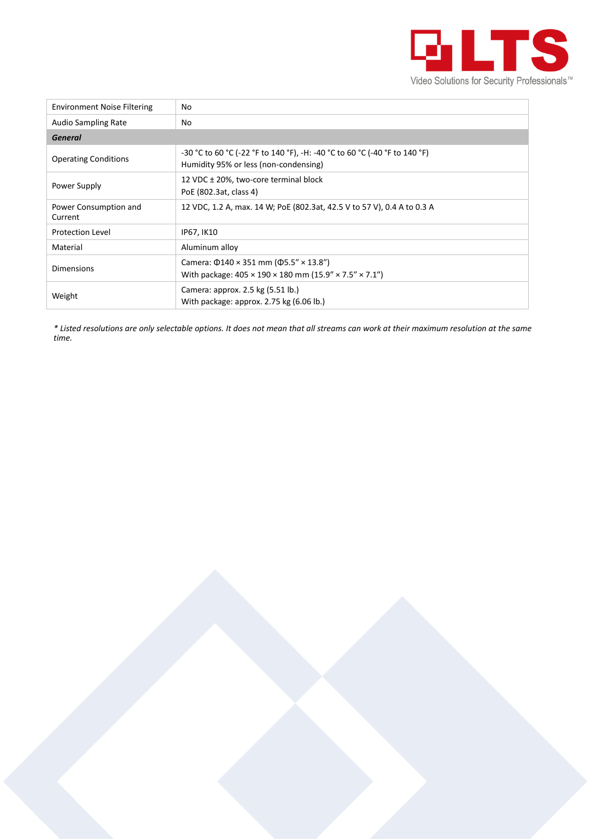

| <b>Environment Noise Filtering</b> | No                                                                                                                                      |
|------------------------------------|-----------------------------------------------------------------------------------------------------------------------------------------|
| <b>Audio Sampling Rate</b>         | No.                                                                                                                                     |
| <b>General</b>                     |                                                                                                                                         |
| <b>Operating Conditions</b>        | -30 °C to 60 °C (-22 °F to 140 °F), -H: -40 °C to 60 °C (-40 °F to 140 °F)<br>Humidity 95% or less (non-condensing)                     |
| Power Supply                       | 12 VDC ± 20%, two-core terminal block<br>PoE (802.3at, class 4)                                                                         |
| Power Consumption and<br>Current   | 12 VDC, 1.2 A, max. 14 W; PoE (802.3at, 42.5 V to 57 V), 0.4 A to 0.3 A                                                                 |
| <b>Protection Level</b>            | IP67, IK10                                                                                                                              |
| Material                           | Aluminum alloy                                                                                                                          |
| Dimensions                         | Camera: $\Phi$ 140 × 351 mm ( $\Phi$ 5.5" × 13.8")<br>With package: $405 \times 190 \times 180$ mm $(15.9'' \times 7.5'' \times 7.1'')$ |
| Weight                             | Camera: approx. 2.5 kg (5.51 lb.)<br>With package: approx. 2.75 kg (6.06 lb.)                                                           |

*\* Listed resolutions are only selectable options. It does not mean that all streams can work at their maximum resolution at the same time.*